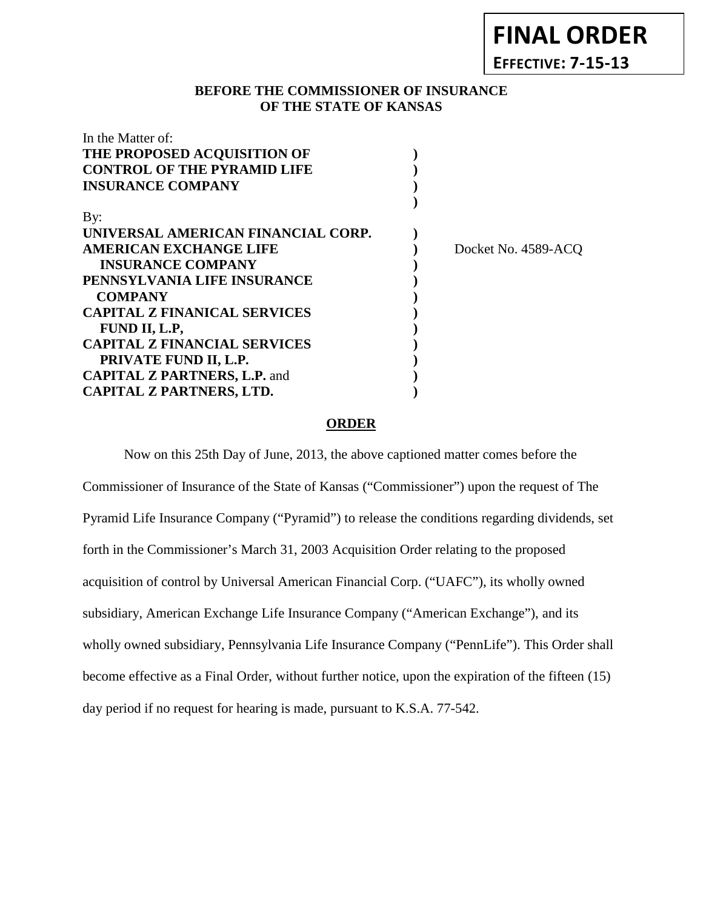# **FINAL ORDER**

**EFFECTIVE: 7-15-13**

#### **BEFORE THE COMMISSIONER OF INSURANCE OF THE STATE OF KANSAS**

| In the Matter of:                   |                     |
|-------------------------------------|---------------------|
| THE PROPOSED ACQUISITION OF         |                     |
| <b>CONTROL OF THE PYRAMID LIFE</b>  |                     |
| <b>INSURANCE COMPANY</b>            |                     |
|                                     |                     |
| By:                                 |                     |
| UNIVERSAL AMERICAN FINANCIAL CORP.  |                     |
| <b>AMERICAN EXCHANGE LIFE</b>       | Docket No. 4589-ACQ |
| <b>INSURANCE COMPANY</b>            |                     |
| PENNSYLVANIA LIFE INSURANCE         |                     |
| <b>COMPANY</b>                      |                     |
| <b>CAPITAL Z FINANICAL SERVICES</b> |                     |
| FUND II, L.P,                       |                     |
| <b>CAPITAL Z FINANCIAL SERVICES</b> |                     |
| PRIVATE FUND II, L.P.               |                     |
| <b>CAPITAL Z PARTNERS, L.P. and</b> |                     |
| CAPITAL Z PARTNERS, LTD.            |                     |
|                                     |                     |

#### **ORDER**

Now on this 25th Day of June, 2013, the above captioned matter comes before the Commissioner of Insurance of the State of Kansas ("Commissioner") upon the request of The Pyramid Life Insurance Company ("Pyramid") to release the conditions regarding dividends, set forth in the Commissioner's March 31, 2003 Acquisition Order relating to the proposed acquisition of control by Universal American Financial Corp. ("UAFC"), its wholly owned subsidiary, American Exchange Life Insurance Company ("American Exchange"), and its wholly owned subsidiary, Pennsylvania Life Insurance Company ("PennLife"). This Order shall become effective as a Final Order, without further notice, upon the expiration of the fifteen (15) day period if no request for hearing is made, pursuant to K.S.A. 77-542.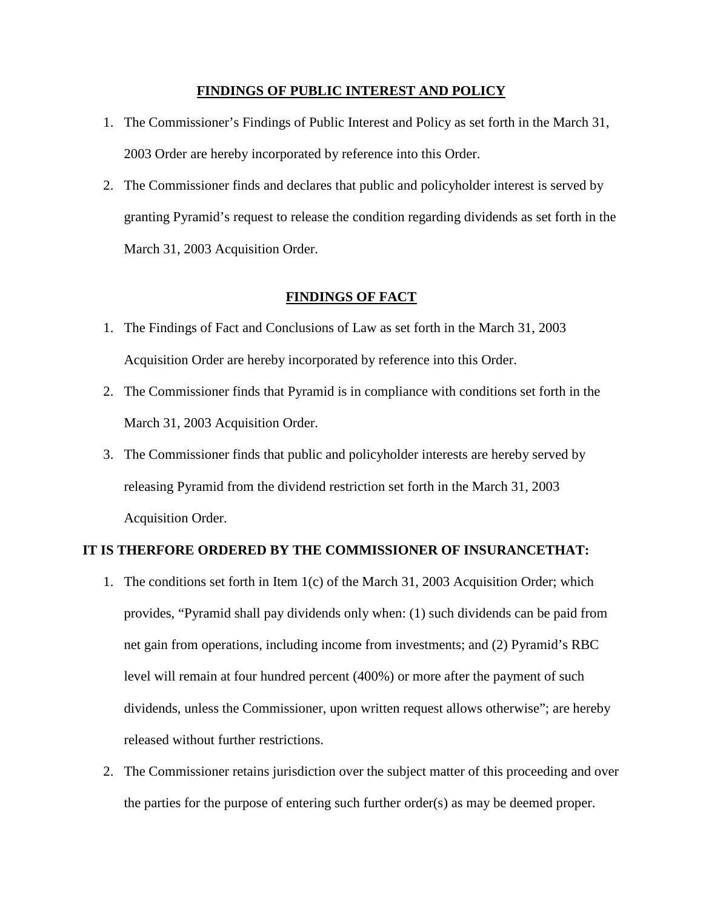#### **FINDINGS OF PUBLIC INTEREST AND POLICY**

- 1. The Commissioner's Findings of Public Interest and Policy as set forth in the March 31, 2003 Order are hereby incorporated by reference into this Order.
- 2. The Commissioner finds and declares that public and policyholder interest is served by granting Pyramid's request to release the condition regarding dividends as set forth in the March 31, 2003 Acquisition Order.

#### **FINDINGS OF FACT**

- 1. The Findings of Fact and Conclusions of Law as set forth in the March 31, 2003 Acquisition Order are hereby incorporated by reference into this Order.
- 2. The Commissioner finds that Pyramid is in compliance with conditions set forth in the March 31, 2003 Acquisition Order.
- 3. The Commissioner finds that public and policyholder interests are hereby served by releasing Pyramid from the dividend restriction set forth in the March 31, 2003 Acquisition Order.

#### **IT IS THERFORE ORDERED BY THE COMMISSIONER OF INSURANCETHAT:**

- 1. The conditions set forth in Item 1(c) of the March 31, 2003 Acquisition Order; which provides, "Pyramid shall pay dividends only when: (1) such dividends can be paid from net gain from operations, including income from investments; and (2) Pyramid's RBC level will remain at four hundred percent (400%) or more after the payment of such dividends, unless the Commissioner, upon written request allows otherwise"; are hereby released without further restrictions.
- 2. The Commissioner retains jurisdiction over the subject matter of this proceeding and over the parties for the purpose of entering such further order(s) as may be deemed proper.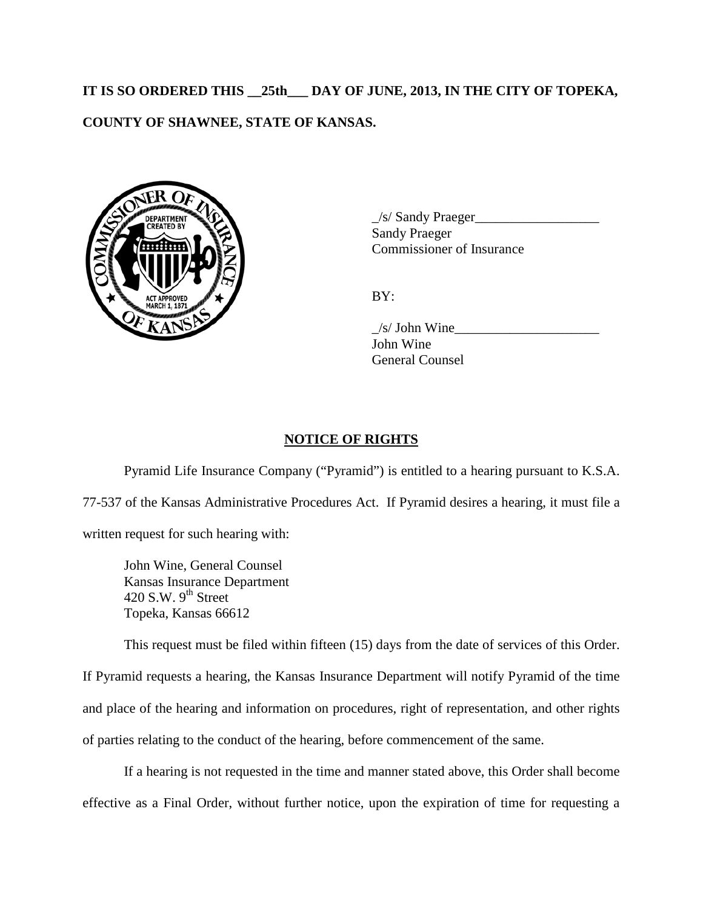## **IT IS SO ORDERED THIS \_\_25th\_\_\_ DAY OF JUNE, 2013, IN THE CITY OF TOPEKA, COUNTY OF SHAWNEE, STATE OF KANSAS.**



\_/s/ Sandy Praeger\_\_\_\_\_\_\_\_\_\_\_\_\_\_\_\_\_\_ Sandy Praeger Commissioner of Insurance

BY:

 $\frac{1}{s}$  John Wine John Wine General Counsel

## **NOTICE OF RIGHTS**

Pyramid Life Insurance Company ("Pyramid") is entitled to a hearing pursuant to K.S.A. 77-537 of the Kansas Administrative Procedures Act. If Pyramid desires a hearing, it must file a written request for such hearing with:

John Wine, General Counsel Kansas Insurance Department 420 S.W.  $9^{th}$  Street Topeka, Kansas 66612

This request must be filed within fifteen (15) days from the date of services of this Order.

If Pyramid requests a hearing, the Kansas Insurance Department will notify Pyramid of the time and place of the hearing and information on procedures, right of representation, and other rights of parties relating to the conduct of the hearing, before commencement of the same.

If a hearing is not requested in the time and manner stated above, this Order shall become effective as a Final Order, without further notice, upon the expiration of time for requesting a